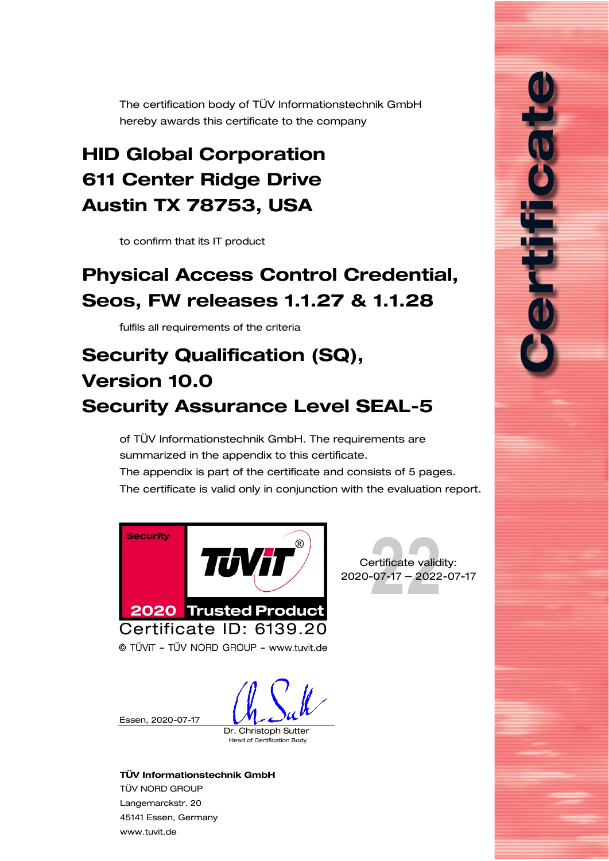<span id="page-0-0"></span>The certification body of TÜV Informationstechnik GmbH hereby awards this certificate to the company

# <span id="page-0-2"></span>HID Global Corporation 611 Center Ridge Drive Austin TX 78753, USA

to confirm that its IT product

# <span id="page-0-1"></span>Physical Access Control Credential, Seos, FW releases 1.1.27 & 1.1.28

fulfils all requirements of the criteria

# Security Qualification (SQ), Version 10.0 Security Assurance Level SEAL-5

of TÜV Informationstechnik GmbH. The requirements are summarized in the appendix to this certificate. The appendix is part of the certificate and consists of [5](#page-1-0) pages. The certificate is valid only in conjunction with the evaluation report.





É

© TŰViT - TŰV NORD GROUP - www.tuvit.de

Essen, [2020-07-17](#page-0-0)

Dr. Christoph Sutter

Head of Certification Body

#### TÜV Informationstechnik GmbH

TÜV NORD GROUP Langemarckstr. 20 45141 Essen, Germany [www.tuvit.de](http://www.tuvit.de/)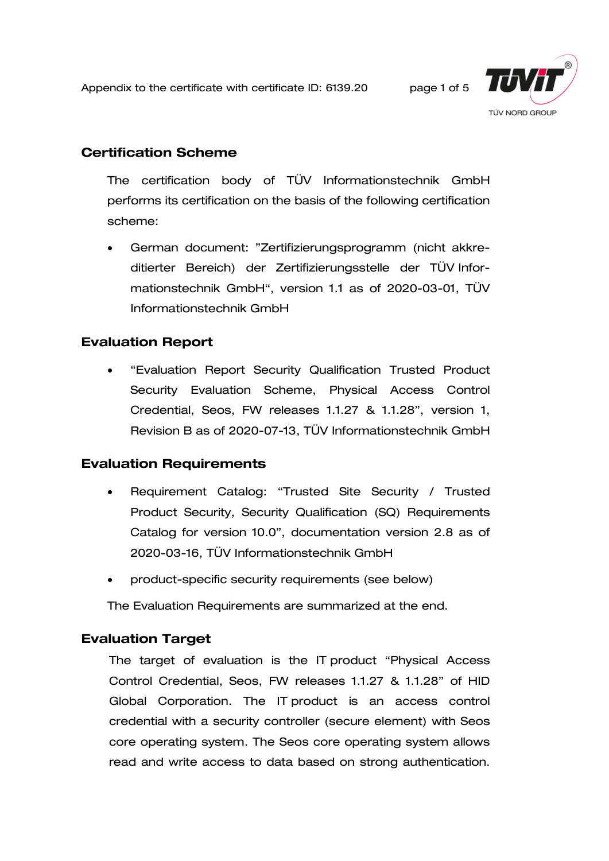<span id="page-1-0"></span>Appendix to the certificate with certificate ID: [6139.20](#page-0-0) page 1 of 5



# Certification Scheme

The certification body of TÜV Informationstechnik GmbH performs its certification on the basis of the following certification scheme:

• German document: "Zertifizierungsprogramm (nicht akkreditierter Bereich) der Zertifizierungsstelle der TÜV Informationstechnik GmbH", version 1.1 as of 2020-03-01, TÜV Informationstechnik GmbH

# Evaluation Report

• "Evaluation Report Security Qualification Trusted Product Security Evaluation Scheme, [Physical Access Control](#page-0-1)  [Credential, Seos, FW](#page-0-1) releases 1.1.27 & 1.1.28", version 1, Revision B as of 2020-07-13, TÜV Informationstechnik GmbH

# Evaluation Requirements

- Requirement Catalog: "Trusted Site Security / Trusted Product Security, Security Qualification (SQ) Requirements Catalog for version 10.0", documentation version 2.8 as of 2020-03-16, TÜV Informationstechnik GmbH
- product-specific security requirements (see below)

The Evaluation Requirements are summarized at the end.

# Evaluation Target

The target of evaluation is the IT product ["Physical Access](#page-0-1)  [Control Credential, Seos, FW releases 1.1.27 & 1.1.28"](#page-0-1) of [HID](#page-0-2)  [Global Corporation.](#page-0-2) The IT product is an access control credential with a security controller (secure element) with Seos core operating system. The Seos core operating system allows read and write access to data based on strong authentication.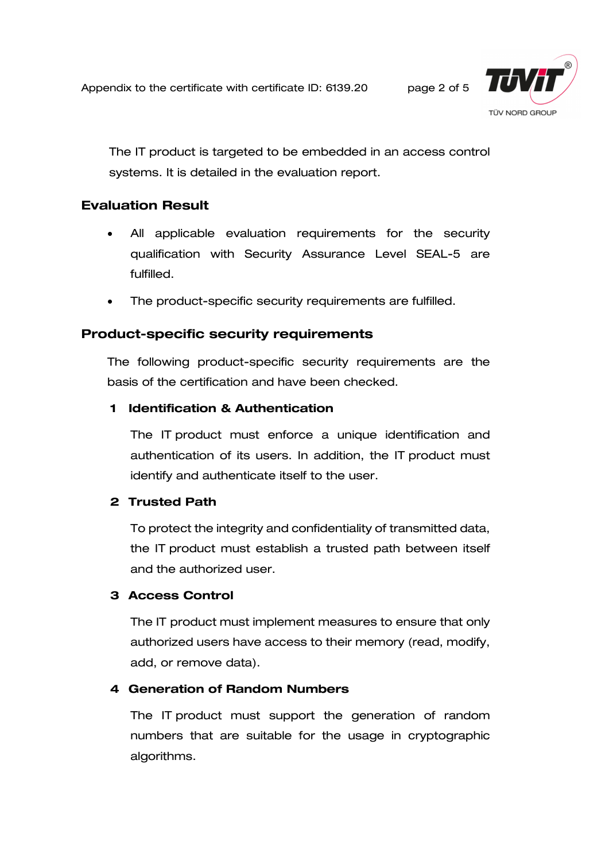Appendix to the certificate with certificate ID: [6139.20](#page-0-0) page 2 of 5



The IT product is targeted to be embedded in an access control systems. It is detailed in the evaluation report.

# Evaluation Result

- All applicable evaluation requirements for the security qualification with Security Assurance Level SEAL-5 are fulfilled.
- The product-specific security requirements are fulfilled.

# Product-specific security requirements

The following product-specific security requirements are the basis of the certification and have been checked.

#### 1 Identification & Authentication

The IT product must enforce a unique identification and authentication of its users. In addition, the IT product must identify and authenticate itself to the user.

#### 2 Trusted Path

To protect the integrity and confidentiality of transmitted data, the IT product must establish a trusted path between itself and the authorized user.

#### 3 Access Control

The IT product must implement measures to ensure that only authorized users have access to their memory (read, modify, add, or remove data).

#### 4 Generation of Random Numbers

The IT product must support the generation of random numbers that are suitable for the usage in cryptographic algorithms.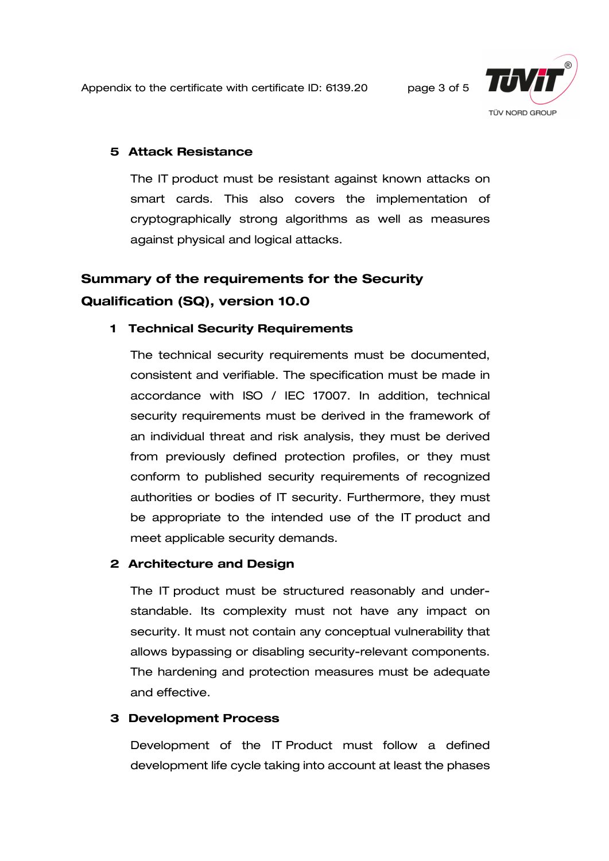Appendix to the certificate with certificate ID: [6139.20](#page-0-0) page 3 of 5



#### 5 Attack Resistance

The IT product must be resistant against known attacks on smart cards. This also covers the implementation of cryptographically strong algorithms as well as measures against physical and logical attacks.

# Summary of the requirements for the Security Qualification (SQ), version 10.0

#### 1 Technical Security Requirements

The technical security requirements must be documented, consistent and verifiable. The specification must be made in accordance with ISO / IEC 17007. In addition, technical security requirements must be derived in the framework of an individual threat and risk analysis, they must be derived from previously defined protection profiles, or they must conform to published security requirements of recognized authorities or bodies of IT security. Furthermore, they must be appropriate to the intended use of the IT product and meet applicable security demands.

#### 2 Architecture and Design

The IT product must be structured reasonably and understandable. Its complexity must not have any impact on security. It must not contain any conceptual vulnerability that allows bypassing or disabling security-relevant components. The hardening and protection measures must be adequate and effective.

#### 3 Development Process

Development of the IT Product must follow a defined development life cycle taking into account at least the phases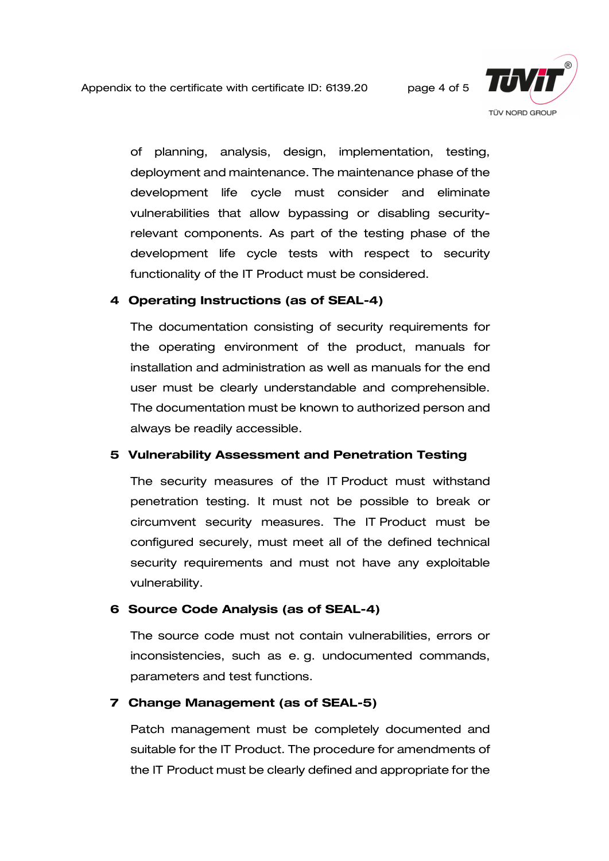

of planning, analysis, design, implementation, testing, deployment and maintenance. The maintenance phase of the development life cycle must consider and eliminate vulnerabilities that allow bypassing or disabling securityrelevant components. As part of the testing phase of the development life cycle tests with respect to security functionality of the IT Product must be considered.

#### 4 Operating Instructions (as of SEAL-4)

The documentation consisting of security requirements for the operating environment of the product, manuals for installation and administration as well as manuals for the end user must be clearly understandable and comprehensible. The documentation must be known to authorized person and always be readily accessible.

#### 5 Vulnerability Assessment and Penetration Testing

The security measures of the IT Product must withstand penetration testing. It must not be possible to break or circumvent security measures. The IT Product must be configured securely, must meet all of the defined technical security requirements and must not have any exploitable vulnerability.

#### 6 Source Code Analysis (as of SEAL-4)

The source code must not contain vulnerabilities, errors or inconsistencies, such as e. g. undocumented commands, parameters and test functions.

#### 7 Change Management (as of SEAL-5)

Patch management must be completely documented and suitable for the IT Product. The procedure for amendments of the IT Product must be clearly defined and appropriate for the